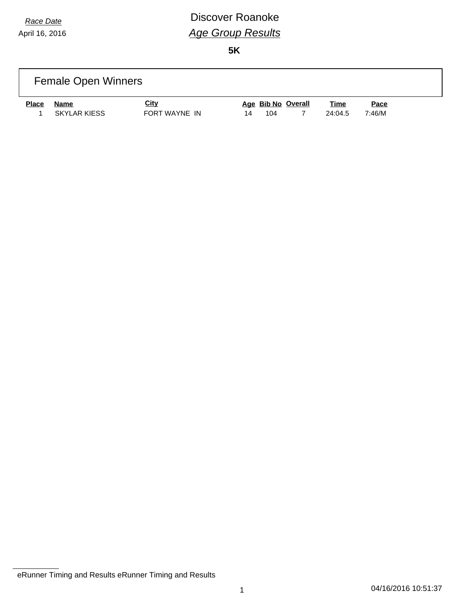### *Race Date* **Discover Roanoke** *Age Group Results*

|              | <b>Female Open Winners</b> |                              |    |     |                    |                        |                |  |
|--------------|----------------------------|------------------------------|----|-----|--------------------|------------------------|----------------|--|
| <b>Place</b> | Name<br>SKYLAR KIESS       | <u>City</u><br>FORT WAYNE IN | 14 | 104 | Age Bib No Overall | <u>Time</u><br>24:04.5 | Pace<br>7:46/M |  |

eRunner Timing and Results eRunner Timing and Results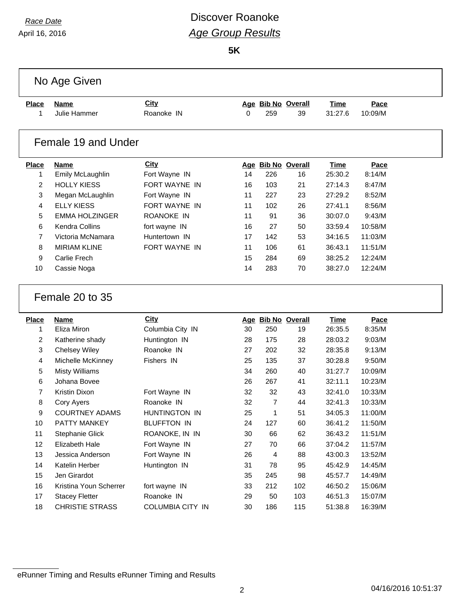### *Race Date* **Discover Roanoke** *Age Group Results*

**5K**

|              | No Age Given                                    |                                |          |                |                    |                    |                    |  |
|--------------|-------------------------------------------------|--------------------------------|----------|----------------|--------------------|--------------------|--------------------|--|
| <b>Place</b> | <b>Name</b>                                     | City                           |          |                | Age Bib No Overall | <b>Time</b>        | Pace               |  |
| 1            | Julie Hammer                                    | Roanoke IN                     | 0        | 259            | 39                 | 31:27.6            | 10:09/M            |  |
|              |                                                 |                                |          |                |                    |                    |                    |  |
|              | Female 19 and Under                             |                                |          |                |                    |                    |                    |  |
| <b>Place</b> | <b>Name</b>                                     | <b>City</b>                    |          |                | Age Bib No Overall | <b>Time</b>        | Pace               |  |
| 1            | Emily McLaughlin                                | Fort Wayne IN                  | 14       | 226            | 16                 | 25:30.2            | 8:14/M             |  |
| 2            | <b>HOLLY KIESS</b>                              | <b>FORT WAYNE IN</b>           | 16       | 103            | 21                 | 27:14.3            | 8:47/M             |  |
| 3            | Megan McLaughlin                                | Fort Wayne IN                  | 11       | 227            | 23                 | 27:29.2            | 8:52/M             |  |
| 4            | <b>ELLY KIESS</b>                               | FORT WAYNE IN                  | 11       | 102            | 26                 | 27:41.1            | 8:56/M             |  |
| 5            | <b>EMMA HOLZINGER</b>                           | ROANOKE IN                     | 11       | 91             | 36                 | 30:07.0            | 9:43/M             |  |
| 6            | Kendra Collins                                  | fort wayne IN                  | 16       | 27             | 50                 | 33:59.4            | 10:58/M            |  |
| 7            | Victoria McNamara                               | Huntertown IN                  | 17       | 142            | 53                 | 34:16.5            | 11:03/M            |  |
| 8            | <b>MIRIAM KLINE</b>                             | FORT WAYNE IN                  | 11       | 106            | 61                 | 36:43.1            | 11:51/M            |  |
| 9            | Carlie Frech                                    |                                | 15       | 284            | 69                 | 38:25.2            | 12:24/M            |  |
| 10           | Cassie Noga                                     |                                | 14       | 283            | 70                 | 38:27.0            | 12:24/M            |  |
|              | Female 20 to 35                                 |                                |          |                |                    |                    |                    |  |
| <b>Place</b> | <b>Name</b>                                     | <b>City</b>                    |          |                | Age Bib No Overall | <b>Time</b>        | Pace               |  |
| 1            | Eliza Miron                                     | Columbia City IN               | 30       | 250            | 19                 | 26:35.5            | 8:35/M             |  |
| 2            | Katherine shady                                 | Huntington IN                  | 28       | 175            | 28                 | 28:03.2            | 9:03/M             |  |
| 3            | <b>Chelsey Wiley</b>                            | Roanoke IN                     | 27       | 202            | 32                 | 28:35.8            | 9:13/M             |  |
| 4            | Michelle McKinney                               | Fishers IN                     | 25       | 135            | 37                 | 30:28.8            | 9:50/M             |  |
| 5            | <b>Misty Williams</b>                           |                                | 34       | 260            | 40                 | 31:27.7            | 10:09/M            |  |
| 6            | Johana Bovee                                    |                                | 26       | 267            | 41                 | 32:11.1            | 10:23/M            |  |
| 7            | Kristin Dixon                                   | Fort Wayne IN                  | 32       | 32             | 43                 | 32:41.0            | 10:33/M            |  |
| 8            | Cory Ayers                                      | Roanoke IN                     | 32       | $\overline{7}$ | 44                 | 32:41.3            | 10:33/M            |  |
| 9            | <b>COURTNEY ADAMS</b>                           | HUNTINGTON IN                  | 25       | $\mathbf 1$    | 51                 | 34:05.3            | 11:00/M            |  |
| 10           | PATTY MANKEY                                    | <b>BLUFFTON IN</b>             | 24       | 127            | 60                 | 36:41.2            | 11:50/M            |  |
| 11           | <b>Stephanie Glick</b>                          | ROANOKE, IN IN                 | 30       | 66             | 62                 | 36:43.2            | 11:51/M            |  |
| 12           | Elizabeth Hale                                  | Fort Wayne IN                  | 27       | 70             | 66                 | 37:04.2            | 11:57/M            |  |
| 13           | Jessica Anderson                                | Fort Wayne IN                  | 26       | 4              | 88                 | 43:00.3            | 13:52/M            |  |
|              |                                                 |                                |          |                |                    |                    |                    |  |
| 14           | Katelin Herber                                  | Huntington IN                  | 31       | 78             | 95                 | 45:42.9            | 14:45/M            |  |
| 15           | Jen Girardot                                    |                                | 35       | 245            | 98                 | 45:57.7            | 14:49/M            |  |
| 16           | Kristina Youn Scherrer                          | fort wayne IN                  | 33       | 212            | 102                | 46:50.2            | 15:06/M            |  |
| 17<br>18     | <b>Stacey Fletter</b><br><b>CHRISTIE STRASS</b> | Roanoke IN<br>COLUMBIA CITY IN | 29<br>30 | 50<br>186      | 103<br>115         | 46:51.3<br>51:38.8 | 15:07/M<br>16:39/M |  |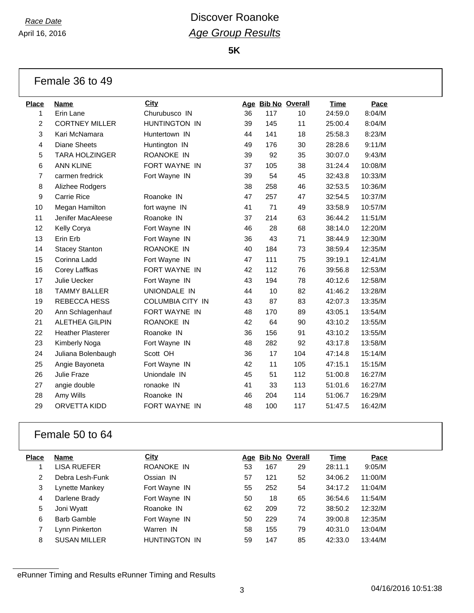**5K**

#### Female 36 to 49

| <b>Place</b>   | Name                     | City                    |    | Age Bib No Overall |     | <b>Time</b> | Pace    |
|----------------|--------------------------|-------------------------|----|--------------------|-----|-------------|---------|
| 1              | Erin Lane                | Churubusco IN           | 36 | 117                | 10  | 24:59.0     | 8:04/M  |
| $\overline{c}$ | <b>CORTNEY MILLER</b>    | HUNTINGTON IN           | 39 | 145                | 11  | 25:00.4     | 8:04/M  |
| 3              | Kari McNamara            | Huntertown IN           | 44 | 141                | 18  | 25:58.3     | 8:23/M  |
| 4              | <b>Diane Sheets</b>      | Huntington IN           | 49 | 176                | 30  | 28:28.6     | 9:11/M  |
| 5              | <b>TARA HOLZINGER</b>    | ROANOKE IN              | 39 | 92                 | 35  | 30:07.0     | 9:43/M  |
| 6              | <b>ANN KLINE</b>         | FORT WAYNE IN           | 37 | 105                | 38  | 31:24.4     | 10:08/M |
| 7              | carmen fredrick          | Fort Wayne IN           | 39 | 54                 | 45  | 32:43.8     | 10:33/M |
| 8              | Alizhee Rodgers          |                         | 38 | 258                | 46  | 32:53.5     | 10:36/M |
| 9              | <b>Carrie Rice</b>       | Roanoke IN              | 47 | 257                | 47  | 32:54.5     | 10:37/M |
| 10             | Megan Hamilton           | fort wayne IN           | 41 | 71                 | 49  | 33:58.9     | 10:57/M |
| 11             | Jenifer MacAleese        | Roanoke IN              | 37 | 214                | 63  | 36:44.2     | 11:51/M |
| 12             | Kelly Corya              | Fort Wayne IN           | 46 | 28                 | 68  | 38:14.0     | 12:20/M |
| 13             | Erin Erb                 | Fort Wayne IN           | 36 | 43                 | 71  | 38:44.9     | 12:30/M |
| 14             | <b>Stacey Stanton</b>    | ROANOKE IN              | 40 | 184                | 73  | 38:59.4     | 12:35/M |
| 15             | Corinna Ladd             | Fort Wayne IN           | 47 | 111                | 75  | 39:19.1     | 12:41/M |
| 16             | Corey Laffkas            | FORT WAYNE IN           | 42 | 112                | 76  | 39:56.8     | 12:53/M |
| 17             | Julie Uecker             | Fort Wayne IN           | 43 | 194                | 78  | 40:12.6     | 12:58/M |
| 18             | <b>TAMMY BALLER</b>      | UNIONDALE IN            | 44 | 10                 | 82  | 41:46.2     | 13:28/M |
| 19             | REBECCA HESS             | <b>COLUMBIA CITY IN</b> | 43 | 87                 | 83  | 42:07.3     | 13:35/M |
| 20             | Ann Schlagenhauf         | <b>FORT WAYNE IN</b>    | 48 | 170                | 89  | 43:05.1     | 13:54/M |
| 21             | <b>ALETHEA GILPIN</b>    | ROANOKE IN              | 42 | 64                 | 90  | 43:10.2     | 13:55/M |
| 22             | <b>Heather Plasterer</b> | Roanoke IN              | 36 | 156                | 91  | 43:10.2     | 13:55/M |
| 23             | Kimberly Noga            | Fort Wayne IN           | 48 | 282                | 92  | 43:17.8     | 13:58/M |
| 24             | Juliana Bolenbaugh       | Scott OH                | 36 | 17                 | 104 | 47:14.8     | 15:14/M |
| 25             | Angie Bayoneta           | Fort Wayne IN           | 42 | 11                 | 105 | 47:15.1     | 15:15/M |
| 26             | Julie Fraze              | Uniondale IN            | 45 | 51                 | 112 | 51:00.8     | 16:27/M |
| 27             | angie double             | ronaoke IN              | 41 | 33                 | 113 | 51:01.6     | 16:27/M |
| 28             | Amy Wills                | Roanoke IN              | 46 | 204                | 114 | 51:06.7     | 16:29/M |
| 29             | ORVETTA KIDD             | FORT WAYNE IN           | 48 | 100                | 117 | 51:47.5     | 16:42/M |
|                |                          |                         |    |                    |     |             |         |

#### Female 50 to 64

| Place | <b>Name</b>         | City                 |    | Age Bib No Overall |    | Time    | Pace    |
|-------|---------------------|----------------------|----|--------------------|----|---------|---------|
|       | LISA RUEFER         | ROANOKE IN           | 53 | 167                | 29 | 28:11.1 | 9:05/M  |
| 2     | Debra Lesh-Funk     | Ossian IN            | 57 | 121                | 52 | 34:06.2 | 11:00/M |
| 3     | Lynette Mankey      | Fort Wayne IN        | 55 | 252                | 54 | 34:17.2 | 11:04/M |
| 4     | Darlene Brady       | Fort Wayne IN        | 50 | 18                 | 65 | 36:54.6 | 11:54/M |
| 5     | Joni Wyatt          | Roanoke IN           | 62 | 209                | 72 | 38:50.2 | 12:32/M |
| 6     | <b>Barb Gamble</b>  | Fort Wayne IN        | 50 | 229                | 74 | 39:00.8 | 12:35/M |
|       | Lynn Pinkerton      | Warren IN            | 58 | 155                | 79 | 40:31.0 | 13:04/M |
| 8     | <b>SUSAN MILLER</b> | <b>HUNTINGTON IN</b> | 59 | 147                | 85 | 42:33.0 | 13:44/M |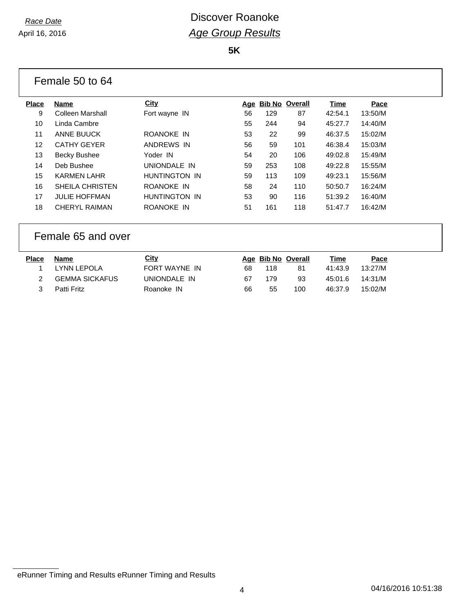**5K**

|              | Female 50 to 64        |                      |            |     |                       |             |         |
|--------------|------------------------|----------------------|------------|-----|-----------------------|-------------|---------|
| <b>Place</b> | Name                   | <b>City</b>          | <u>Age</u> |     | <b>Bib No Overall</b> | Time        | Pace    |
| 9            | Colleen Marshall       | Fort wayne IN        | 56         | 129 | 87                    | 42:54.1     | 13:50/M |
| 10           | Linda Cambre           |                      | 55         | 244 | 94                    | 45:27.7     | 14:40/M |
| 11           | ANNE BUUCK             | ROANOKE IN           | 53         | 22  | 99                    | 46:37.5     | 15:02/M |
| 12           | <b>CATHY GEYER</b>     | ANDREWS IN           | 56         | 59  | 101                   | 46:38.4     | 15:03/M |
| 13           | <b>Becky Bushee</b>    | Yoder IN             | 54         | 20  | 106                   | 49:02.8     | 15:49/M |
| 14           | Deb Bushee             | UNIONDALE IN         | 59         | 253 | 108                   | 49:22.8     | 15:55/M |
| 15           | <b>KARMEN LAHR</b>     | HUNTINGTON IN        | 59         | 113 | 109                   | 49:23.1     | 15:56/M |
| 16           | <b>SHEILA CHRISTEN</b> | ROANOKE IN           | 58         | 24  | 110                   | 50:50.7     | 16:24/M |
| 17           | <b>JULIE HOFFMAN</b>   | <b>HUNTINGTON IN</b> | 53         | 90  | 116                   | 51:39.2     | 16:40/M |
| 18           | <b>CHERYL RAIMAN</b>   | ROANOKE IN           | 51         | 161 | 118                   | 51:47.7     | 16:42/M |
|              | Female 65 and over     |                      |            |     |                       |             |         |
| <b>Place</b> | <b>Name</b>            | <b>City</b>          |            |     | Age Bib No Overall    | <u>Time</u> | Pace    |
| 1            | <b>LYNN LEPOLA</b>     | FORT WAYNE IN        | 68         | 118 | 81                    | 41:43.9     | 13:27/M |
| 2            | <b>GEMMA SICKAFUS</b>  | UNIONDALE IN         | 67         | 179 | 93                    | 45:01.6     | 14:31/M |

Patti Fritz Roanoke IN 66 55 100 46:37.9 15:02/M

eRunner Timing and Results eRunner Timing and Results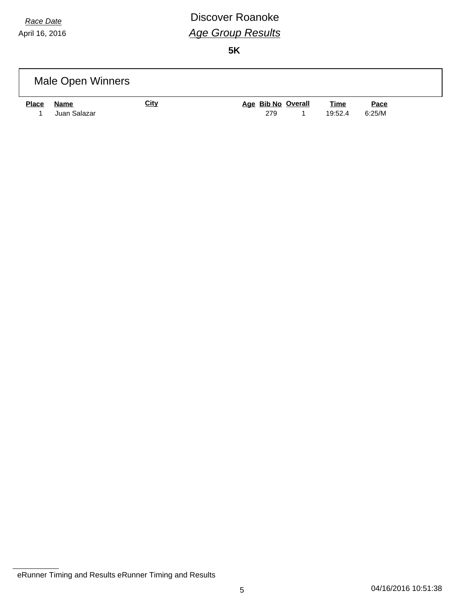### *Race Date* **Discover Roanoke** *Age Group Results*

|              | Male Open Winners    |             |                           |                        |                       |
|--------------|----------------------|-------------|---------------------------|------------------------|-----------------------|
| <b>Place</b> | Name<br>Juan Salazar | <u>City</u> | Age Bib No Overall<br>279 | <u>Time</u><br>19:52.4 | <u>Pace</u><br>6:25/M |

eRunner Timing and Results eRunner Timing and Results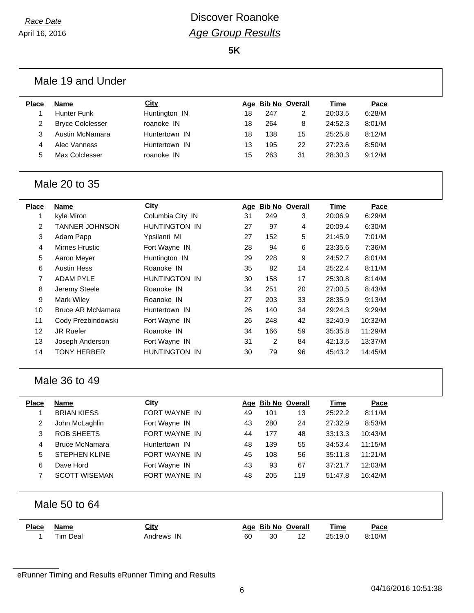### *Race Date* **Discover Roanoke** *Age Group Results*

**5K**

|                | Male 19 and Under        |                      |            |     |                       |             |         |  |
|----------------|--------------------------|----------------------|------------|-----|-----------------------|-------------|---------|--|
| <b>Place</b>   | <b>Name</b>              | <b>City</b>          |            |     | Age Bib No Overall    | <b>Time</b> | Pace    |  |
| 1              | Hunter Funk              | Huntington IN        | 18         | 247 | $\overline{2}$        | 20:03.5     | 6:28/M  |  |
| 2              | <b>Bryce Colclesser</b>  | roanoke IN           | 18         | 264 | 8                     | 24:52.3     | 8:01/M  |  |
| 3              | Austin McNamara          | Huntertown IN        | 18         | 138 | 15                    | 25:25.8     | 8:12/M  |  |
| 4              | Alec Vanness             | Huntertown IN        | 13         | 195 | 22                    | 27:23.6     | 8:50/M  |  |
| 5              | Max Colclesser           | roanoke IN           | 15         | 263 | 31                    | 28:30.3     | 9:12/M  |  |
| Male 20 to 35  |                          |                      |            |     |                       |             |         |  |
| <b>Place</b>   | <b>Name</b>              | <b>City</b>          |            |     | Age Bib No Overall    | Time        | Pace    |  |
| 1              | kyle Miron               | Columbia City IN     | 31         | 249 | 3                     | 20:06.9     | 6:29/M  |  |
| 2              | <b>TANNER JOHNSON</b>    | <b>HUNTINGTON IN</b> | 27         | 97  | 4                     | 20:09.4     | 6:30/M  |  |
| 3              | Adam Papp                | Ypsilanti MI         | 27         | 152 | 5                     | 21:45.9     | 7:01/M  |  |
| 4              | <b>Mirnes Hrustic</b>    | Fort Wayne IN        | 28         | 94  | 6                     | 23:35.6     | 7:36/M  |  |
| 5              | Aaron Meyer              | Huntington IN        | 29         | 228 | 9                     | 24:52.7     | 8:01/M  |  |
| 6              | <b>Austin Hess</b>       | Roanoke IN           | 35         | 82  | 14                    | 25:22.4     | 8:11/M  |  |
| $\overline{7}$ | <b>ADAM PYLE</b>         | HUNTINGTON IN        | 30         | 158 | 17                    | 25:30.8     | 8:14/M  |  |
| 8              | Jeremy Steele            | Roanoke IN           | 34         | 251 | 20                    | 27:00.5     | 8:43/M  |  |
| 9              | <b>Mark Wiley</b>        | Roanoke IN           | 27         | 203 | 33                    | 28:35.9     | 9:13/M  |  |
| 10             | <b>Bruce AR McNamara</b> | Huntertown IN        | 26         | 140 | 34                    | 29:24.3     | 9:29/M  |  |
| 11             | Cody Prezbindowski       | Fort Wayne IN        | 26         | 248 | 42                    | 32:40.9     | 10:32/M |  |
| 12             | JR Ruefer                | Roanoke IN           | 34         | 166 | 59                    | 35:35.8     | 11:29/M |  |
| 13             | Joseph Anderson          | Fort Wayne IN        | 31         | 2   | 84                    | 42:13.5     | 13:37/M |  |
| 14             | <b>TONY HERBER</b>       | HUNTINGTON IN        | 30         | 79  | 96                    | 45:43.2     | 14:45/M |  |
|                | Male 36 to 49            |                      |            |     |                       |             |         |  |
| <b>Place</b>   | <b>Name</b>              | <b>City</b>          | <u>Age</u> |     | <b>Bib No Overall</b> | <b>Time</b> | Pace    |  |
| 1              | <b>BRIAN KIESS</b>       | FORT WAYNE IN        | 49         | 101 | 13                    | 25:22.2     | 8:11/M  |  |
| 2              | John McLaghlin           | Fort Wayne IN        | 43         | 280 | 24                    | 27:32.9     | 8:53/M  |  |
| 3              | <b>ROB SHEETS</b>        | FORT WAYNE IN        | 44         | 177 | 48                    | 33:13.3     | 10:43/M |  |
| 4              | <b>Bruce McNamara</b>    | Huntertown IN        | 48         | 139 | 55                    | 34:53.4     | 11:15/M |  |
| 5              | <b>STEPHEN KLINE</b>     | FORT WAYNE IN        | 45         | 108 | 56                    | 35:11.8     | 11:21/M |  |
| 6              | Dave Hord                | Fort Wayne IN        | 43         | 93  | 67                    | 37:21.7     | 12:03/M |  |
| 7              | <b>SCOTT WISEMAN</b>     | FORT WAYNE IN        | 48         | 205 | 119                   | 51:47.8     | 16:42/M |  |
|                | Male 50 to 64            |                      |            |     |                       |             |         |  |
| <b>Place</b>   | <b>Name</b>              | City                 |            |     | Age Bib No Overall    | <b>Time</b> | Pace    |  |
| 1              | <b>Tim Deal</b>          | Andrews IN           | 60         | 30  | 12                    | 25:19.0     | 8:10/M  |  |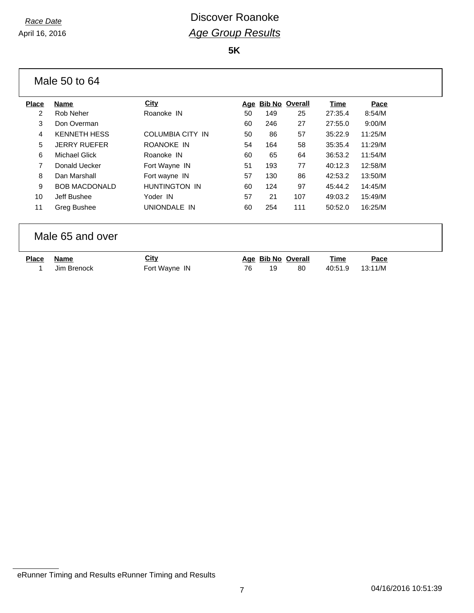**5K**

|              | Male 50 to 64        |                         |    |                    |                    |         |             |
|--------------|----------------------|-------------------------|----|--------------------|--------------------|---------|-------------|
| <b>Place</b> | <b>Name</b>          | City                    |    | Age Bib No Overall |                    | Time    | Pace        |
| 2            | Rob Neher            | Roanoke IN              | 50 | 149                | 25                 | 27:35.4 | 8:54/M      |
| 3            | Don Overman          |                         | 60 | 246                | 27                 | 27:55.0 | 9:00/M      |
| 4            | <b>KENNETH HESS</b>  | <b>COLUMBIA CITY IN</b> | 50 | 86                 | 57                 | 35:22.9 | 11:25/M     |
| 5            | <b>JERRY RUEFER</b>  | ROANOKE IN              | 54 | 164                | 58                 | 35:35.4 | 11:29/M     |
| 6            | <b>Michael Glick</b> | Roanoke IN              | 60 | 65                 | 64                 | 36:53.2 | 11:54/M     |
| 7            | Donald Uecker        | Fort Wayne IN           | 51 | 193                | 77                 | 40:12.3 | 12:58/M     |
| 8            | Dan Marshall         | Fort wayne IN           | 57 | 130                | 86                 | 42:53.2 | 13:50/M     |
| 9            | <b>BOB MACDONALD</b> | HUNTINGTON IN           | 60 | 124                | 97                 | 45:44.2 | 14:45/M     |
| 10           | Jeff Bushee          | Yoder IN                | 57 | 21                 | 107                | 49:03.2 | 15:49/M     |
| 11           | Greg Bushee          | UNIONDALE IN            | 60 | 254                | 111                | 50:52.0 | 16:25/M     |
|              | Male 65 and over     |                         |    |                    |                    |         |             |
| <b>Place</b> | <b>Name</b>          | <b>City</b>             |    |                    | Age Bib No Overall | Time    | <b>Pace</b> |
| 1            | Jim Brenock          | Fort Wayne IN           | 76 | 19                 | 80                 | 40:51.9 | 13:11/M     |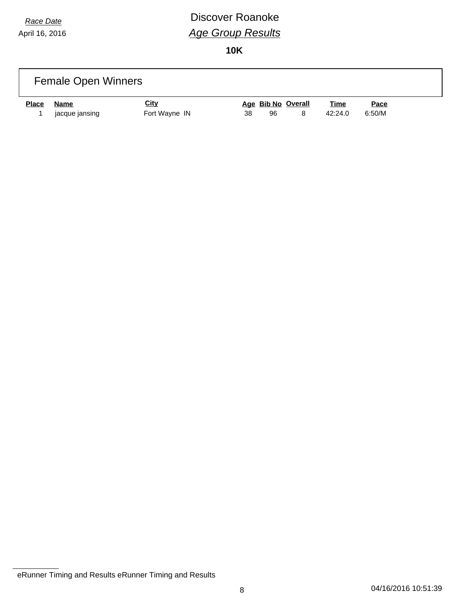# *Race Date* **Discover Roanoke** *Age Group Results*

| <b>Female Open Winners</b>                                             |                                     |                                          |  |  |  |
|------------------------------------------------------------------------|-------------------------------------|------------------------------------------|--|--|--|
| <u>City</u><br>Name<br><b>Place</b><br>jacque jansing<br>Fort Wayne IN | Age Bib No Overall<br>38<br>96<br>8 | <u>Time</u><br>Pace<br>6:50/M<br>42:24.0 |  |  |  |

eRunner Timing and Results eRunner Timing and Results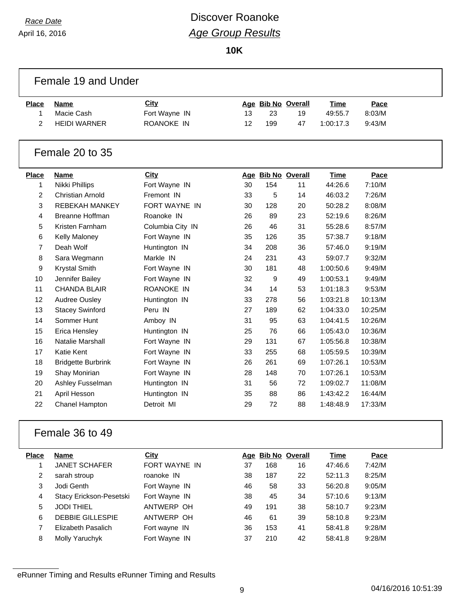# *Race Date* **Discover Roanoke** *Age Group Results*

**10K**

|                | Female 19 and Under       |                  |    |     |                    |             |         |  |
|----------------|---------------------------|------------------|----|-----|--------------------|-------------|---------|--|
| <b>Place</b>   | <b>Name</b>               | <b>City</b>      |    |     | Age Bib No Overall | <b>Time</b> | Pace    |  |
| $\mathbf{1}$   | Macie Cash                | Fort Wayne IN    | 13 | 23  | 19                 | 49:55.7     | 8:03/M  |  |
| 2              | <b>HEIDI WARNER</b>       | ROANOKE IN       | 12 | 199 | 47                 | 1:00:17.3   | 9:43/M  |  |
|                | Female 20 to 35           |                  |    |     |                    |             |         |  |
| <b>Place</b>   | Name                      | <b>City</b>      |    |     | Age Bib No Overall | <b>Time</b> | Pace    |  |
| 1              | Nikki Phillips            | Fort Wayne IN    | 30 | 154 | 11                 | 44:26.6     | 7:10/M  |  |
| $\overline{a}$ | <b>Christian Arnold</b>   | Fremont IN       | 33 | 5   | 14                 | 46:03.2     | 7:26/M  |  |
| 3              | <b>REBEKAH MANKEY</b>     | FORT WAYNE IN    | 30 | 128 | 20                 | 50:28.2     | 8:08/M  |  |
| 4              | <b>Breanne Hoffman</b>    | Roanoke IN       | 26 | 89  | 23                 | 52:19.6     | 8:26/M  |  |
| 5              | Kristen Farnham           | Columbia City IN | 26 | 46  | 31                 | 55:28.6     | 8:57/M  |  |
| 6              | Kelly Maloney             | Fort Wayne IN    | 35 | 126 | 35                 | 57:38.7     | 9:18/M  |  |
| 7              | Deah Wolf                 | Huntington IN    | 34 | 208 | 36                 | 57:46.0     | 9:19/M  |  |
| 8              | Sara Wegmann              | Markle IN        | 24 | 231 | 43                 | 59:07.7     | 9:32/M  |  |
| 9              | <b>Krystal Smith</b>      | Fort Wayne IN    | 30 | 181 | 48                 | 1:00:50.6   | 9:49/M  |  |
| 10             | Jennifer Bailey           | Fort Wayne IN    | 32 | 9   | 49                 | 1:00:53.1   | 9:49/M  |  |
| 11             | <b>CHANDA BLAIR</b>       | ROANOKE IN       | 34 | 14  | 53                 | 1:01:18.3   | 9:53/M  |  |
| 12             | Audree Ousley             | Huntington IN    | 33 | 278 | 56                 | 1:03:21.8   | 10:13/M |  |
| 13             | <b>Stacey Swinford</b>    | Peru IN          | 27 | 189 | 62                 | 1:04:33.0   | 10:25/M |  |
| 14             | Sommer Hunt               | Amboy IN         | 31 | 95  | 63                 | 1:04:41.5   | 10:26/M |  |
| 15             | Erica Hensley             | Huntington IN    | 25 | 76  | 66                 | 1:05:43.0   | 10:36/M |  |
| 16             | <b>Natalie Marshall</b>   | Fort Wayne IN    | 29 | 131 | 67                 | 1:05:56.8   | 10:38/M |  |
| 17             | <b>Katie Kent</b>         | Fort Wayne IN    | 33 | 255 | 68                 | 1:05:59.5   | 10:39/M |  |
| 18             | <b>Bridgette Burbrink</b> | Fort Wayne IN    | 26 | 261 | 69                 | 1:07:26.1   | 10:53/M |  |
| 19             | Shay Monirian             | Fort Wayne IN    | 28 | 148 | 70                 | 1:07:26.1   | 10:53/M |  |
| 20             | Ashley Fusselman          | Huntington IN    | 31 | 56  | 72                 | 1:09:02.7   | 11:08/M |  |
| 21             | April Hesson              | Huntington IN    | 35 | 88  | 86                 | 1:43:42.2   | 16:44/M |  |
| 22             | Chanel Hampton            | Detroit MI       | 29 | 72  | 88                 | 1:48:48.9   | 17:33/M |  |
|                | Female 36 to 49           |                  |    |     |                    |             |         |  |
| <b>Place</b>   | <b>Name</b>               | City             |    |     | Age Bib No Overall | <b>Time</b> | Pace    |  |
| 1              | JANET SCHAFER             | FORT WAYNE IN    | 37 | 168 | 16                 | 47:46.6     | 7:42/M  |  |
| 2              | sarah stroup              | roanoke IN       | 38 | 187 | 22                 | 52:11.3     | 8:25/M  |  |
| 3              | Jodi Genth                | Fort Wayne IN    | 46 | 58  | 33                 | 56:20.8     | 9:05/M  |  |
| 4              | Stacy Erickson-Pesetski   | Fort Wayne IN    | 38 | 45  | 34                 | 57:10.6     | 9:13/M  |  |

 JODI THIEL ANTWERP OH 49 191 38 58:10.7 9:23/M DEBBIE GILLESPIE ANTWERP OH 46 61 39 58:10.8 9:23/M Elizabeth Pasalich Fort wayne IN 36 153 41 58:41.8 9:28/M Molly Yaruchyk Fort Wayne IN 37 210 42 58:41.8 9:28/M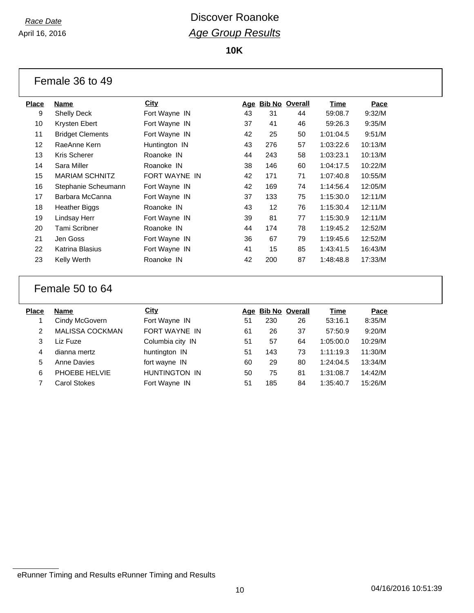**10K**

| Female 36 to 49 |  |  |  |
|-----------------|--|--|--|
|-----------------|--|--|--|

| Place | Name                    | <b>City</b>   |    | Age Bib No Overall |    | Time      | Pace    |
|-------|-------------------------|---------------|----|--------------------|----|-----------|---------|
| 9     | <b>Shelly Deck</b>      | Fort Wayne IN | 43 | 31                 | 44 | 59:08.7   | 9:32/M  |
| 10    | Krysten Ebert           | Fort Wayne IN | 37 | 41                 | 46 | 59:26.3   | 9:35/M  |
| 11    | <b>Bridget Clements</b> | Fort Wayne IN | 42 | 25                 | 50 | 1:01:04.5 | 9:51/M  |
| 12    | RaeAnne Kern            | Huntington IN | 43 | 276                | 57 | 1:03:22.6 | 10:13/M |
| 13    | Kris Scherer            | Roanoke IN    | 44 | 243                | 58 | 1:03:23.1 | 10:13/M |
| 14    | Sara Miller             | Roanoke IN    | 38 | 146                | 60 | 1:04:17.5 | 10:22/M |
| 15    | <b>MARIAM SCHNITZ</b>   | FORT WAYNE IN | 42 | 171                | 71 | 1:07:40.8 | 10:55/M |
| 16    | Stephanie Scheumann     | Fort Wayne IN | 42 | 169                | 74 | 1:14:56.4 | 12:05/M |
| 17    | Barbara McCanna         | Fort Wayne IN | 37 | 133                | 75 | 1:15:30.0 | 12:11/M |
| 18    | Heather Biggs           | Roanoke IN    | 43 | 12                 | 76 | 1:15:30.4 | 12:11/M |
| 19    | Lindsay Herr            | Fort Wayne IN | 39 | 81                 | 77 | 1:15:30.9 | 12:11/M |
| 20    | Tami Scribner           | Roanoke IN    | 44 | 174                | 78 | 1:19:45.2 | 12:52/M |
| 21    | Jen Goss                | Fort Wayne IN | 36 | 67                 | 79 | 1:19:45.6 | 12:52/M |
| 22    | Katrina Blasius         | Fort Wayne IN | 41 | 15                 | 85 | 1:43:41.5 | 16:43/M |
| 23    | Kelly Werth             | Roanoke IN    | 42 | 200                | 87 | 1:48:48.8 | 17:33/M |
|       |                         |               |    |                    |    |           |         |

#### Female 50 to 64

| Place | <b>Name</b>            | City                 |    | Age Bib No Overall |    | Time      | Pace    |
|-------|------------------------|----------------------|----|--------------------|----|-----------|---------|
|       | Cindy McGovern         | Fort Wayne IN        | 51 | 230                | 26 | 53:16.1   | 8:35/M  |
| 2     | <b>MALISSA COCKMAN</b> | FORT WAYNE IN        | 61 | 26                 | 37 | 57:50.9   | 9:20/M  |
| 3     | Liz Fuze               | Columbia city IN     | 51 | 57                 | 64 | 1:05:00.0 | 10:29/M |
| 4     | dianna mertz           | huntington IN        | 51 | 143                | 73 | 1:11:19.3 | 11:30/M |
| 5     | Anne Davies            | fort wayne IN        | 60 | 29                 | 80 | 1:24:04.5 | 13:34/M |
| 6     | PHOEBE HELVIE          | <b>HUNTINGTON IN</b> | 50 | 75                 | 81 | 1:31:08.7 | 14:42/M |
|       | <b>Carol Stokes</b>    | Fort Wayne IN        | 51 | 185                | 84 | 1:35:40.7 | 15:26/M |
|       |                        |                      |    |                    |    |           |         |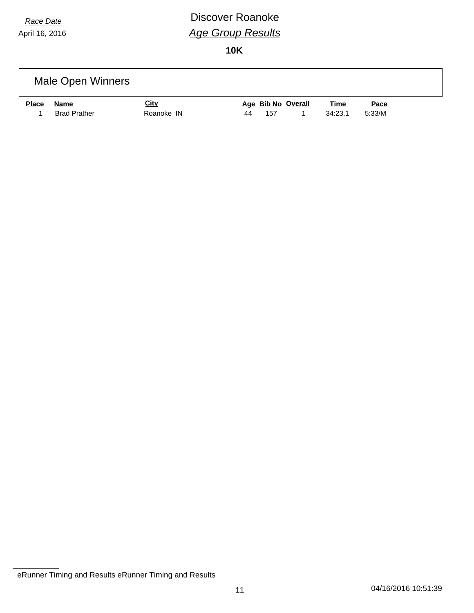# *Race Date* **Discover Roanoke** *Age Group Results*

|              | Male Open Winners   |             |    |     |                    |             |             |  |
|--------------|---------------------|-------------|----|-----|--------------------|-------------|-------------|--|
| <b>Place</b> | Name                | <u>City</u> |    |     | Age Bib No Overall | <u>Time</u> | <u>Pace</u> |  |
|              | <b>Brad Prather</b> | Roanoke IN  | 44 | 157 |                    | 34:23.1     | 5:33/M      |  |

eRunner Timing and Results eRunner Timing and Results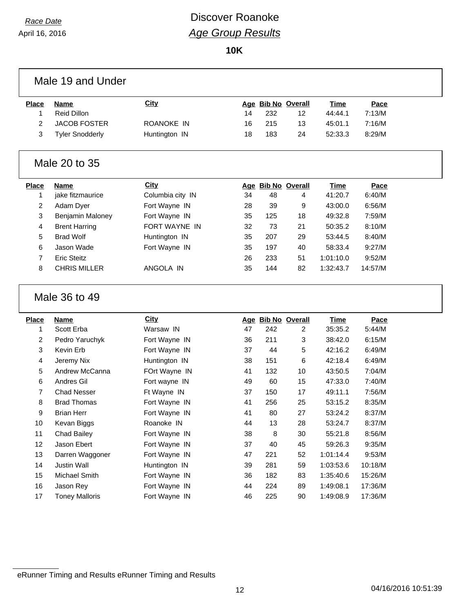### *Race Date* **Discover Roanoke** *Age Group Results*

**10K**

|              | Male 19 and Under                  |                                |          |            |                       |                        |                    |  |
|--------------|------------------------------------|--------------------------------|----------|------------|-----------------------|------------------------|--------------------|--|
| <b>Place</b> | <b>Name</b>                        | <b>City</b>                    | Age      |            | <b>Bib No Overall</b> | Time                   | Pace               |  |
| 1            | <b>Reid Dillon</b>                 |                                | 14       | 232        | 12                    | 44:44.1                | 7:13/M             |  |
| 2            | <b>JACOB FOSTER</b>                | ROANOKE IN                     | 16       | 215        | 13                    | 45:01.1                | 7:16/M             |  |
| 3            | <b>Tyler Snodderly</b>             | Huntington IN                  | 18       | 183        | 24                    | 52:33.3                | 8:29/M             |  |
|              | Male 20 to 35                      |                                |          |            |                       |                        |                    |  |
| <b>Place</b> | <b>Name</b>                        | <b>City</b>                    |          |            | Age Bib No Overall    | <b>Time</b>            | Pace               |  |
| 1            | jake fitzmaurice                   | Columbia city IN               | 34       | 48         | 4                     | 41:20.7                | 6:40/M             |  |
| 2            | Adam Dyer                          | Fort Wayne IN                  | 28       | 39         | 9                     | 43:00.0                | 6:56/M             |  |
| 3            | Benjamin Maloney                   | Fort Wayne IN                  | 35       | 125        | 18                    | 49:32.8                | 7:59/M             |  |
| 4            | <b>Brent Harring</b>               | FORT WAYNE IN                  | 32       | 73         | 21                    | 50:35.2                | 8:10/M             |  |
| 5            | <b>Brad Wolf</b>                   | Huntington IN                  | 35       | 207        | 29                    | 53:44.5                | 8:40/M             |  |
| 6            | Jason Wade                         | Fort Wayne IN                  | 35       | 197        | 40                    | 58:33.4                | 9:27/M             |  |
| 7            | <b>Eric Steitz</b>                 |                                | 26       | 233        | 51                    | 1:01:10.0              | 9:52/M             |  |
| 8            | <b>CHRIS MILLER</b>                | ANGOLA IN                      | 35       | 144        | 82                    | 1:32:43.7              | 14:57/M            |  |
|              |                                    |                                |          |            |                       |                        |                    |  |
|              | Male 36 to 49                      |                                |          |            |                       |                        |                    |  |
| <b>Place</b> | <b>Name</b>                        | City                           |          |            | Age Bib No Overall    | <b>Time</b>            | Pace               |  |
| 1            | Scott Erba                         | Warsaw IN                      | 47       | 242        | 2                     | 35:35.2                | 5:44/M             |  |
| 2            | Pedro Yaruchyk                     | Fort Wayne IN                  | 36       | 211        | 3                     | 38:42.0                | 6:15/M             |  |
| 3            | Kevin Erb                          | Fort Wayne IN                  | 37       | 44         | 5                     | 42:16.2                | 6:49/M             |  |
| 4            | Jeremy Nix                         | Huntington IN                  | 38       | 151        | 6                     | 42:18.4                | 6:49/M             |  |
| 5            | Andrew McCanna                     | FOrt Wayne IN                  | 41       | 132        | 10                    | 43:50.5                | 7:04/M             |  |
| 6            | Andres Gil                         | Fort wayne IN                  | 49       | 60         | 15                    | 47:33.0                | 7:40/M             |  |
| 7            | <b>Chad Nesser</b>                 | Ft Wayne IN                    | 37       | 150        | 17                    | 49:11.1                | 7:56/M             |  |
| 8            | <b>Brad Thomas</b>                 | Fort Wayne IN                  | 41       | 256        | 25                    | 53:15.2                | 8:35/M             |  |
| 9            | <b>Brian Herr</b>                  | Fort Wayne IN                  | 41       | 80         | 27                    | 53:24.2                | 8:37/M             |  |
| 10           | Kevan Biggs                        | Roanoke IN                     | 44       | 13         | 28                    | 53:24.7                | 8:37/M             |  |
| 11           | Chad Bailey                        | Fort Wayne IN                  | 38       | 8          | 30                    | 55:21.8                | 8:56/M             |  |
| 12           | Jason Ebert                        | Fort Wayne IN                  | 37       | 40         | 45                    | 59:26.3                | 9:35/M             |  |
| 13           | Darren Waggoner                    | Fort Wayne IN                  | 47       | 221        | 52                    | 1:01:14.4              | 9:53/M             |  |
| 14           | Justin Wall                        | Huntington IN                  | 39       | 281        | 59                    | 1:03:53.6              | 10:18/M            |  |
| 15           | Michael Smith                      | Fort Wayne IN                  | 36       | 182        | 83                    | 1:35:40.6              | 15:26/M            |  |
| 16<br>17     | Jason Rey<br><b>Toney Malloris</b> | Fort Wayne IN<br>Fort Wayne IN | 44<br>46 | 224<br>225 | 89<br>90              | 1:49:08.1<br>1:49:08.9 | 17:36/M<br>17:36/M |  |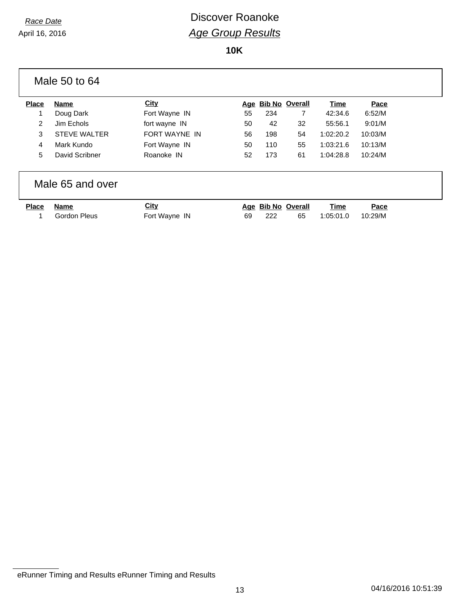|              | Male 50 to 64       |                      |     |     |                       |           |         |  |
|--------------|---------------------|----------------------|-----|-----|-----------------------|-----------|---------|--|
| <b>Place</b> | Name                | <b>City</b>          | Age |     | <b>Bib No Overall</b> | Time      | Pace    |  |
|              | Doug Dark           | Fort Wayne IN        | 55  | 234 | $\overline{7}$        | 42:34.6   | 6:52/M  |  |
| 2            | Jim Echols          | fort wayne IN        | 50  | 42  | 32                    | 55:56.1   | 9:01/M  |  |
| 3            | <b>STEVE WALTER</b> | <b>FORT WAYNE IN</b> | 56  | 198 | 54                    | 1:02:20.2 | 10:03/M |  |
| 4            | Mark Kundo          | Fort Wayne IN        | 50  | 110 | 55                    | 1:03:21.6 | 10:13/M |  |
| 5            | David Scribner      | Roanoke IN           | 52  | 173 | 61                    | 1:04:28.8 | 10:24/M |  |
|              | Male 65 and over    |                      |     |     |                       |           |         |  |
| <b>Place</b> | <b>Name</b>         | City                 |     |     | Age Bib No Overall    | Time      | Pace    |  |
|              | <b>Gordon Pleus</b> | Fort Wayne IN        | 69  | 222 | 65                    | 1:05:01.0 | 10:29/M |  |

eRunner Timing and Results eRunner Timing and Results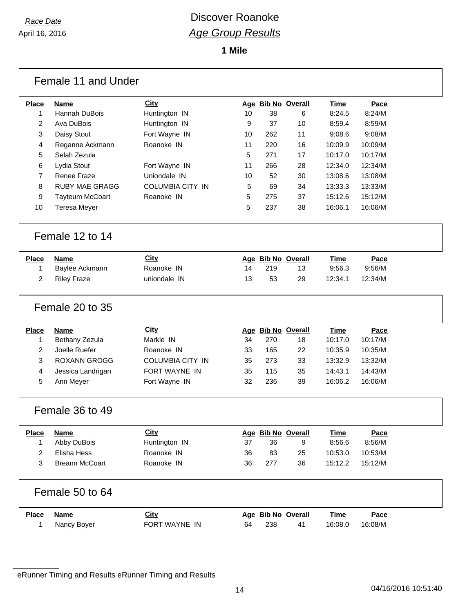**1 Mile**

|                         | Female 11 and Under    |                         |    |     |                    |             |         |  |
|-------------------------|------------------------|-------------------------|----|-----|--------------------|-------------|---------|--|
| <b>Place</b>            | <b>Name</b>            | <b>City</b>             |    |     | Age Bib No Overall | <b>Time</b> | Pace    |  |
| 1                       | Hannah DuBois          | Huntington IN           | 10 | 38  | 6                  | 8:24.5      | 8:24/M  |  |
| $\overline{\mathbf{c}}$ | Ava DuBois             | Huntington IN           | 9  | 37  | 10                 | 8:59.4      | 8:59/M  |  |
| 3                       | Daisy Stout            | Fort Wayne IN           | 10 | 262 | 11                 | 9:08.6      | 9:08/M  |  |
| 4                       | Reganne Ackmann        | Roanoke IN              | 11 | 220 | 16                 | 10:09.9     | 10:09/M |  |
| 5                       | Selah Zezula           |                         | 5  | 271 | 17                 | 10:17.0     | 10:17/M |  |
| 6                       | Lydia Stout            | Fort Wayne IN           | 11 | 266 | 28                 | 12:34.0     | 12:34/M |  |
| 7                       | <b>Renee Fraze</b>     | Uniondale IN            | 10 | 52  | 30                 | 13:08.6     | 13:08/M |  |
| 8                       | <b>RUBY MAE GRAGG</b>  | <b>COLUMBIA CITY IN</b> | 5  | 69  | 34                 | 13:33.3     | 13:33/M |  |
| 9                       | <b>Tayteum McCoart</b> | Roanoke IN              | 5  | 275 | 37                 | 15:12.6     | 15:12/M |  |
| 10                      | <b>Teresa Meyer</b>    |                         | 5  | 237 | 38                 | 16:06.1     | 16:06/M |  |
|                         | Female 12 to 14        |                         |    |     |                    |             |         |  |
| <b>Place</b>            | <b>Name</b>            | <b>City</b>             |    |     | Age Bib No Overall | Time        | Pace    |  |
| 1                       | Baylee Ackmann         | Roanoke IN              | 14 | 219 | 13                 | 9:56.3      | 9:56/M  |  |
| 2                       | <b>Riley Fraze</b>     | uniondale IN            | 13 | 53  | 29                 | 12:34.1     | 12:34/M |  |
|                         | Female 20 to 35        |                         |    |     |                    |             |         |  |
| <b>Place</b>            | <b>Name</b>            | <b>City</b>             |    |     | Age Bib No Overall | <b>Time</b> | Pace    |  |
| 1                       | Bethany Zezula         | Markle IN               | 34 | 270 | 18                 | 10:17.0     | 10:17/M |  |
| $\overline{a}$          | Joelle Ruefer          | Roanoke IN              | 33 | 165 | 22                 | 10:35.9     | 10:35/M |  |
| 3                       | ROXANN GROGG           | <b>COLUMBIA CITY IN</b> | 35 | 273 | 33                 | 13:32.9     | 13:32/M |  |
| 4                       | Jessica Landrigan      | FORT WAYNE IN           | 35 | 115 | 35                 | 14:43.1     | 14:43/M |  |
| 5                       | Ann Meyer              | Fort Wayne IN           | 32 | 236 | 39                 | 16:06.2     | 16:06/M |  |
|                         | Female 36 to 49        |                         |    |     |                    |             |         |  |
| <b>Place</b>            | Name                   | <b>City</b>             |    |     | Age Bib No Overall | <b>Time</b> | Pace    |  |
| 1                       | Abby DuBois            | Huntington IN           | 37 | 36  | 9                  | 8:56.6      | 8:56/M  |  |
| $\overline{2}$          | Elisha Hess            | Roanoke IN              | 36 | 83  | 25                 | 10:53.0     | 10:53/M |  |
| 3                       | <b>Breann McCoart</b>  | Roanoke IN              | 36 | 277 | 36                 | 15:12.2     | 15:12/M |  |
|                         | Female 50 to 64        |                         |    |     |                    |             |         |  |
| <b>Place</b>            | <b>Name</b>            | <b>City</b>             |    |     | Age Bib No Overall | <b>Time</b> | Pace    |  |
| 1                       | Nancy Boyer            | FORT WAYNE IN           | 64 | 238 | 41                 | 16:08.0     | 16:08/M |  |
|                         |                        |                         |    |     |                    |             |         |  |